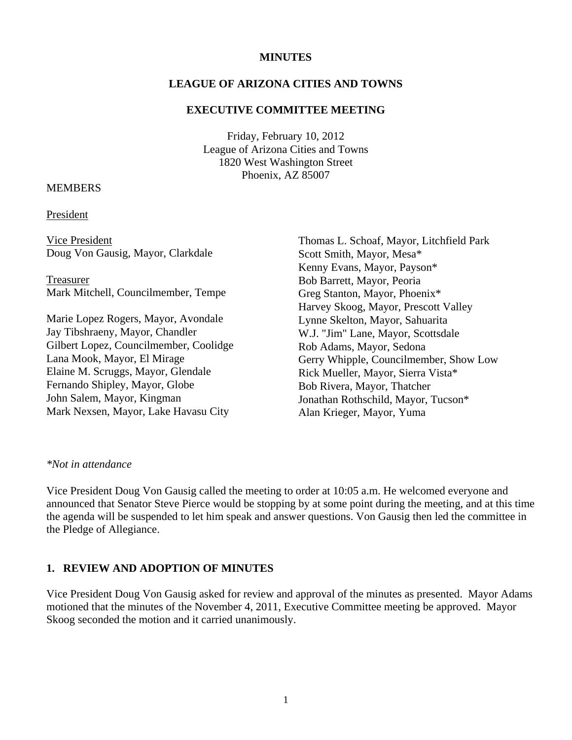#### **MINUTES**

### **LEAGUE OF ARIZONA CITIES AND TOWNS**

#### **EXECUTIVE COMMITTEE MEETING**

Friday, February 10, 2012 League of Arizona Cities and Towns 1820 West Washington Street Phoenix, AZ 85007

#### MEMBERS

#### President

 Vice President Doug Von Gausig, Mayor, Clarkdale

Treasurer Mark Mitchell, Councilmember, Tempe

Marie Lopez Rogers, Mayor, Avondale Jay Tibshraeny, Mayor, Chandler Gilbert Lopez, Councilmember, Coolidge Lana Mook, Mayor, El Mirage Elaine M. Scruggs, Mayor, Glendale Fernando Shipley, Mayor, Globe John Salem, Mayor, Kingman Mark Nexsen, Mayor, Lake Havasu City

Thomas L. Schoaf, Mayor, Litchfield Park Scott Smith, Mayor, Mesa\* Kenny Evans, Mayor, Payson\* Bob Barrett, Mayor, Peoria Greg Stanton, Mayor, Phoenix\* Harvey Skoog, Mayor, Prescott Valley Lynne Skelton, Mayor, Sahuarita W.J. "Jim" Lane, Mayor, Scottsdale Rob Adams, Mayor, Sedona Gerry Whipple, Councilmember, Show Low Rick Mueller, Mayor, Sierra Vista\* Bob Rivera, Mayor, Thatcher Jonathan Rothschild, Mayor, Tucson\* Alan Krieger, Mayor, Yuma

#### *\*Not in attendance*

Vice President Doug Von Gausig called the meeting to order at 10:05 a.m. He welcomed everyone and announced that Senator Steve Pierce would be stopping by at some point during the meeting, and at this time the agenda will be suspended to let him speak and answer questions. Von Gausig then led the committee in the Pledge of Allegiance.

#### **1. REVIEW AND ADOPTION OF MINUTES**

Vice President Doug Von Gausig asked for review and approval of the minutes as presented. Mayor Adams motioned that the minutes of the November 4, 2011, Executive Committee meeting be approved. Mayor Skoog seconded the motion and it carried unanimously.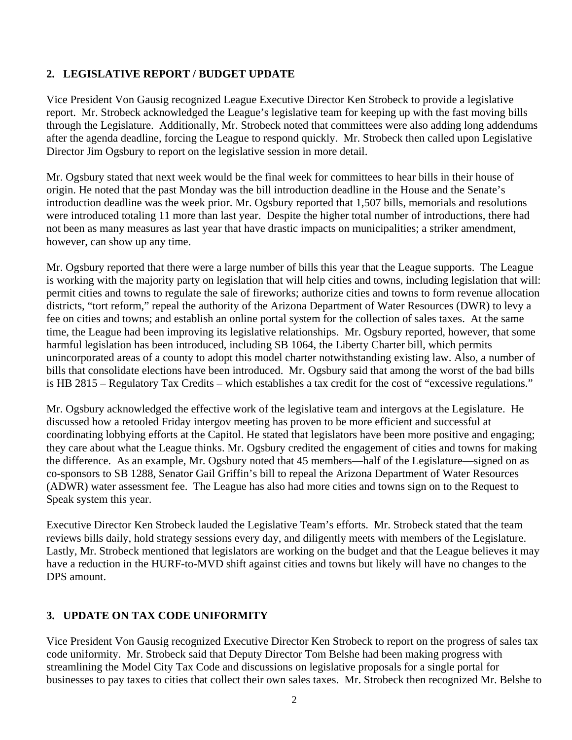### **2. LEGISLATIVE REPORT / BUDGET UPDATE**

Vice President Von Gausig recognized League Executive Director Ken Strobeck to provide a legislative report. Mr. Strobeck acknowledged the League's legislative team for keeping up with the fast moving bills through the Legislature. Additionally, Mr. Strobeck noted that committees were also adding long addendums after the agenda deadline, forcing the League to respond quickly. Mr. Strobeck then called upon Legislative Director Jim Ogsbury to report on the legislative session in more detail.

Mr. Ogsbury stated that next week would be the final week for committees to hear bills in their house of origin. He noted that the past Monday was the bill introduction deadline in the House and the Senate's introduction deadline was the week prior. Mr. Ogsbury reported that 1,507 bills, memorials and resolutions were introduced totaling 11 more than last year. Despite the higher total number of introductions, there had not been as many measures as last year that have drastic impacts on municipalities; a striker amendment, however, can show up any time.

Mr. Ogsbury reported that there were a large number of bills this year that the League supports. The League is working with the majority party on legislation that will help cities and towns, including legislation that will: permit cities and towns to regulate the sale of fireworks; authorize cities and towns to form revenue allocation districts, "tort reform," repeal the authority of the Arizona Department of Water Resources (DWR) to levy a fee on cities and towns; and establish an online portal system for the collection of sales taxes. At the same time, the League had been improving its legislative relationships. Mr. Ogsbury reported, however, that some harmful legislation has been introduced, including SB 1064, the Liberty Charter bill, which permits unincorporated areas of a county to adopt this model charter notwithstanding existing law. Also, a number of bills that consolidate elections have been introduced. Mr. Ogsbury said that among the worst of the bad bills is HB 2815 – Regulatory Tax Credits – which establishes a tax credit for the cost of "excessive regulations."

Mr. Ogsbury acknowledged the effective work of the legislative team and intergovs at the Legislature. He discussed how a retooled Friday intergov meeting has proven to be more efficient and successful at coordinating lobbying efforts at the Capitol. He stated that legislators have been more positive and engaging; they care about what the League thinks. Mr. Ogsbury credited the engagement of cities and towns for making the difference. As an example, Mr. Ogsbury noted that 45 members—half of the Legislature—signed on as co-sponsors to SB 1288, Senator Gail Griffin's bill to repeal the Arizona Department of Water Resources (ADWR) water assessment fee. The League has also had more cities and towns sign on to the Request to Speak system this year.

Executive Director Ken Strobeck lauded the Legislative Team's efforts. Mr. Strobeck stated that the team reviews bills daily, hold strategy sessions every day, and diligently meets with members of the Legislature. Lastly, Mr. Strobeck mentioned that legislators are working on the budget and that the League believes it may have a reduction in the HURF-to-MVD shift against cities and towns but likely will have no changes to the DPS amount.

### **3. UPDATE ON TAX CODE UNIFORMITY**

Vice President Von Gausig recognized Executive Director Ken Strobeck to report on the progress of sales tax code uniformity. Mr. Strobeck said that Deputy Director Tom Belshe had been making progress with streamlining the Model City Tax Code and discussions on legislative proposals for a single portal for businesses to pay taxes to cities that collect their own sales taxes. Mr. Strobeck then recognized Mr. Belshe to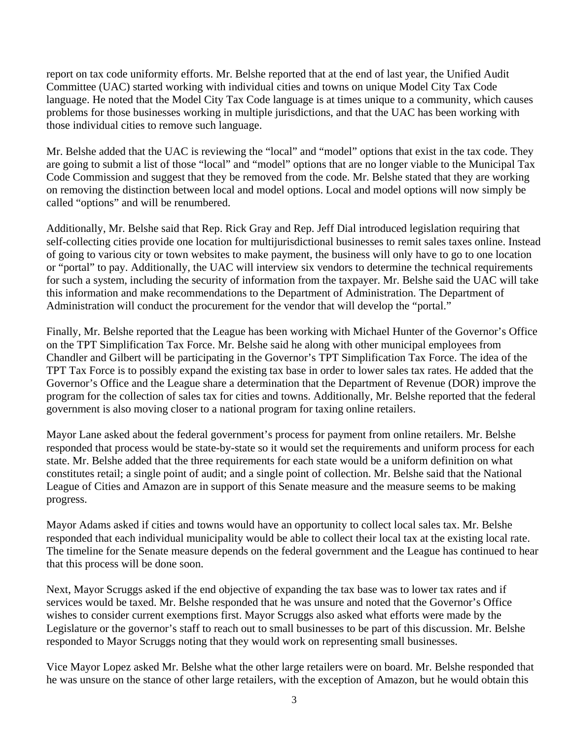report on tax code uniformity efforts. Mr. Belshe reported that at the end of last year, the Unified Audit Committee (UAC) started working with individual cities and towns on unique Model City Tax Code language. He noted that the Model City Tax Code language is at times unique to a community, which causes problems for those businesses working in multiple jurisdictions, and that the UAC has been working with those individual cities to remove such language.

Mr. Belshe added that the UAC is reviewing the "local" and "model" options that exist in the tax code. They are going to submit a list of those "local" and "model" options that are no longer viable to the Municipal Tax Code Commission and suggest that they be removed from the code. Mr. Belshe stated that they are working on removing the distinction between local and model options. Local and model options will now simply be called "options" and will be renumbered.

Additionally, Mr. Belshe said that Rep. Rick Gray and Rep. Jeff Dial introduced legislation requiring that self-collecting cities provide one location for multijurisdictional businesses to remit sales taxes online. Instead of going to various city or town websites to make payment, the business will only have to go to one location or "portal" to pay. Additionally, the UAC will interview six vendors to determine the technical requirements for such a system, including the security of information from the taxpayer. Mr. Belshe said the UAC will take this information and make recommendations to the Department of Administration. The Department of Administration will conduct the procurement for the vendor that will develop the "portal."

Finally, Mr. Belshe reported that the League has been working with Michael Hunter of the Governor's Office on the TPT Simplification Tax Force. Mr. Belshe said he along with other municipal employees from Chandler and Gilbert will be participating in the Governor's TPT Simplification Tax Force. The idea of the TPT Tax Force is to possibly expand the existing tax base in order to lower sales tax rates. He added that the Governor's Office and the League share a determination that the Department of Revenue (DOR) improve the program for the collection of sales tax for cities and towns. Additionally, Mr. Belshe reported that the federal government is also moving closer to a national program for taxing online retailers.

Mayor Lane asked about the federal government's process for payment from online retailers. Mr. Belshe responded that process would be state-by-state so it would set the requirements and uniform process for each state. Mr. Belshe added that the three requirements for each state would be a uniform definition on what constitutes retail; a single point of audit; and a single point of collection. Mr. Belshe said that the National League of Cities and Amazon are in support of this Senate measure and the measure seems to be making progress.

Mayor Adams asked if cities and towns would have an opportunity to collect local sales tax. Mr. Belshe responded that each individual municipality would be able to collect their local tax at the existing local rate. The timeline for the Senate measure depends on the federal government and the League has continued to hear that this process will be done soon.

Next, Mayor Scruggs asked if the end objective of expanding the tax base was to lower tax rates and if services would be taxed. Mr. Belshe responded that he was unsure and noted that the Governor's Office wishes to consider current exemptions first. Mayor Scruggs also asked what efforts were made by the Legislature or the governor's staff to reach out to small businesses to be part of this discussion. Mr. Belshe responded to Mayor Scruggs noting that they would work on representing small businesses.

Vice Mayor Lopez asked Mr. Belshe what the other large retailers were on board. Mr. Belshe responded that he was unsure on the stance of other large retailers, with the exception of Amazon, but he would obtain this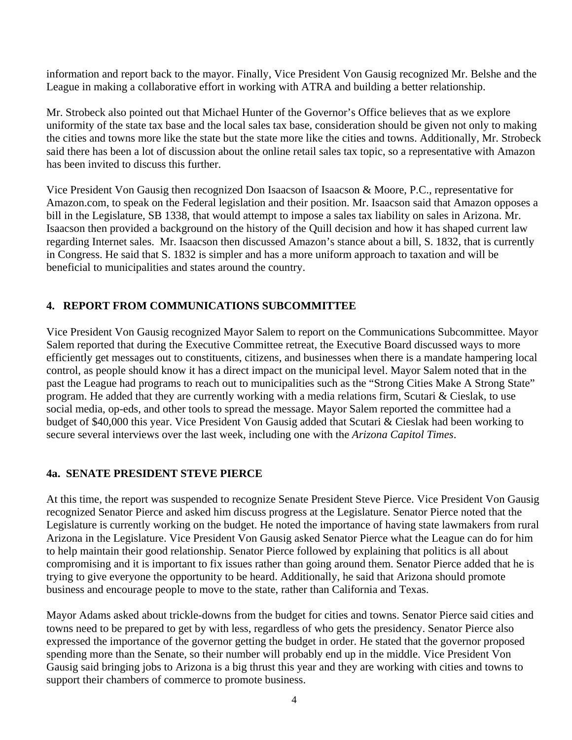information and report back to the mayor. Finally, Vice President Von Gausig recognized Mr. Belshe and the League in making a collaborative effort in working with ATRA and building a better relationship.

Mr. Strobeck also pointed out that Michael Hunter of the Governor's Office believes that as we explore uniformity of the state tax base and the local sales tax base, consideration should be given not only to making the cities and towns more like the state but the state more like the cities and towns. Additionally, Mr. Strobeck said there has been a lot of discussion about the online retail sales tax topic, so a representative with Amazon has been invited to discuss this further.

Vice President Von Gausig then recognized Don Isaacson of Isaacson & Moore, P.C., representative for Amazon.com, to speak on the Federal legislation and their position. Mr. Isaacson said that Amazon opposes a bill in the Legislature, SB 1338, that would attempt to impose a sales tax liability on sales in Arizona. Mr. Isaacson then provided a background on the history of the Quill decision and how it has shaped current law regarding Internet sales. Mr. Isaacson then discussed Amazon's stance about a bill, S. 1832, that is currently in Congress. He said that S. 1832 is simpler and has a more uniform approach to taxation and will be beneficial to municipalities and states around the country.

### **4. REPORT FROM COMMUNICATIONS SUBCOMMITTEE**

Vice President Von Gausig recognized Mayor Salem to report on the Communications Subcommittee. Mayor Salem reported that during the Executive Committee retreat, the Executive Board discussed ways to more efficiently get messages out to constituents, citizens, and businesses when there is a mandate hampering local control, as people should know it has a direct impact on the municipal level. Mayor Salem noted that in the past the League had programs to reach out to municipalities such as the "Strong Cities Make A Strong State" program. He added that they are currently working with a media relations firm, Scutari & Cieslak, to use social media, op-eds, and other tools to spread the message. Mayor Salem reported the committee had a budget of \$40,000 this year. Vice President Von Gausig added that Scutari & Cieslak had been working to secure several interviews over the last week, including one with the *Arizona Capitol Times*.

### **4a. SENATE PRESIDENT STEVE PIERCE**

At this time, the report was suspended to recognize Senate President Steve Pierce. Vice President Von Gausig recognized Senator Pierce and asked him discuss progress at the Legislature. Senator Pierce noted that the Legislature is currently working on the budget. He noted the importance of having state lawmakers from rural Arizona in the Legislature. Vice President Von Gausig asked Senator Pierce what the League can do for him to help maintain their good relationship. Senator Pierce followed by explaining that politics is all about compromising and it is important to fix issues rather than going around them. Senator Pierce added that he is trying to give everyone the opportunity to be heard. Additionally, he said that Arizona should promote business and encourage people to move to the state, rather than California and Texas.

Mayor Adams asked about trickle-downs from the budget for cities and towns. Senator Pierce said cities and towns need to be prepared to get by with less, regardless of who gets the presidency. Senator Pierce also expressed the importance of the governor getting the budget in order. He stated that the governor proposed spending more than the Senate, so their number will probably end up in the middle. Vice President Von Gausig said bringing jobs to Arizona is a big thrust this year and they are working with cities and towns to support their chambers of commerce to promote business.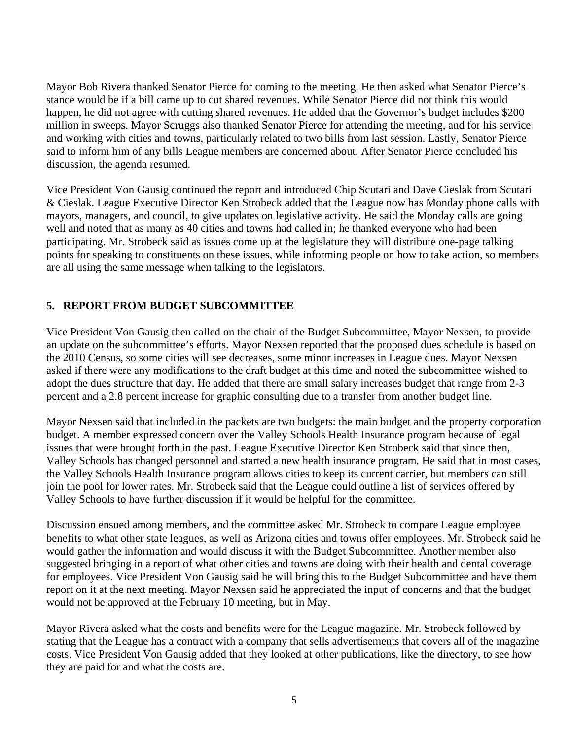Mayor Bob Rivera thanked Senator Pierce for coming to the meeting. He then asked what Senator Pierce's stance would be if a bill came up to cut shared revenues. While Senator Pierce did not think this would happen, he did not agree with cutting shared revenues. He added that the Governor's budget includes \$200 million in sweeps. Mayor Scruggs also thanked Senator Pierce for attending the meeting, and for his service and working with cities and towns, particularly related to two bills from last session. Lastly, Senator Pierce said to inform him of any bills League members are concerned about. After Senator Pierce concluded his discussion, the agenda resumed.

Vice President Von Gausig continued the report and introduced Chip Scutari and Dave Cieslak from Scutari & Cieslak. League Executive Director Ken Strobeck added that the League now has Monday phone calls with mayors, managers, and council, to give updates on legislative activity. He said the Monday calls are going well and noted that as many as 40 cities and towns had called in; he thanked everyone who had been participating. Mr. Strobeck said as issues come up at the legislature they will distribute one-page talking points for speaking to constituents on these issues, while informing people on how to take action, so members are all using the same message when talking to the legislators.

# **5. REPORT FROM BUDGET SUBCOMMITTEE**

Vice President Von Gausig then called on the chair of the Budget Subcommittee, Mayor Nexsen, to provide an update on the subcommittee's efforts. Mayor Nexsen reported that the proposed dues schedule is based on the 2010 Census, so some cities will see decreases, some minor increases in League dues. Mayor Nexsen asked if there were any modifications to the draft budget at this time and noted the subcommittee wished to adopt the dues structure that day. He added that there are small salary increases budget that range from 2-3 percent and a 2.8 percent increase for graphic consulting due to a transfer from another budget line.

Mayor Nexsen said that included in the packets are two budgets: the main budget and the property corporation budget. A member expressed concern over the Valley Schools Health Insurance program because of legal issues that were brought forth in the past. League Executive Director Ken Strobeck said that since then, Valley Schools has changed personnel and started a new health insurance program. He said that in most cases, the Valley Schools Health Insurance program allows cities to keep its current carrier, but members can still join the pool for lower rates. Mr. Strobeck said that the League could outline a list of services offered by Valley Schools to have further discussion if it would be helpful for the committee.

Discussion ensued among members, and the committee asked Mr. Strobeck to compare League employee benefits to what other state leagues, as well as Arizona cities and towns offer employees. Mr. Strobeck said he would gather the information and would discuss it with the Budget Subcommittee. Another member also suggested bringing in a report of what other cities and towns are doing with their health and dental coverage for employees. Vice President Von Gausig said he will bring this to the Budget Subcommittee and have them report on it at the next meeting. Mayor Nexsen said he appreciated the input of concerns and that the budget would not be approved at the February 10 meeting, but in May.

Mayor Rivera asked what the costs and benefits were for the League magazine. Mr. Strobeck followed by stating that the League has a contract with a company that sells advertisements that covers all of the magazine costs. Vice President Von Gausig added that they looked at other publications, like the directory, to see how they are paid for and what the costs are.